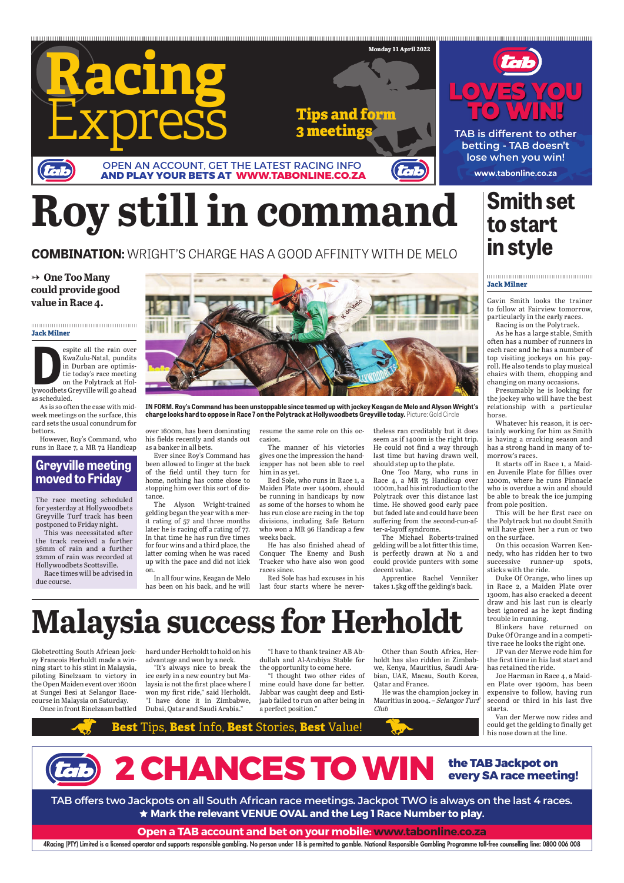**www.tabonline.co.za**

**TAB is different to other betting - TAB doesn't lose when you win!**





4Racing (PTY) Limited is a licensed operator and supports responsible gambling. No person under 18 is permitted to gamble. National Responsible Gambling Programme toll-free counselling line: 0800 006 008

**TAB offers two Jackpots on all South African race meetings. Jackpot TWO is always on the last 4 races. Mark the relevant VENUE OVAL and the Leg 1 Race Number to play.**

**Open a TAB account and bet on your mobile: www.tabonline.co.za**





The race meeting scheduled for yesterday at Hollywoodbets Greyville Turf track has been postponed to Friday night.

This was necessitated after the track received a further 36mm of rain and a further 22mm of rain was recorded at Hollywoodbets Scottsville.

Race times will be advised in due course.

## **Greyville meeting moved to Friday**

#### **Jack Milner**

Gavin Smith looks the trainer to follow at Fairview tomorrow, particularly in the early races. Racing is on the Polytrack.

As he has a large stable, Smith often has a number of runners in each race and he has a number of top visiting jockeys on his payroll. He also tends to play musical chairs with them, chopping and changing on many occasions.

Globetrotting South African jock- hard under Herholdt to hold on his ey Francois Herholdt made a win-advantage and won by a neck. ning start to his stint in Malaysia, piloting Binelzaam to victory in the Open Maiden event over 1600n at Sungei Besi at Selangor Racecourse in Malaysia on Saturday.

Presumably he is looking for the jockey who will have the best relationship with a particular horse.

Once in front Binelzaam battled Dubai, Qatar and Saudi Arabia." "It's always nice to break the ice early in a new country but Malaysia is not the first place where I won my first ride," said Herholdt. "I have done it in Zimbabwe,

Whatever his reason, it is certainly working for him as Smith is having a cracking season and has a strong hand in many of tomorrow's races.

It starts off in Race 1, a Maiden Juvenile Plate for fillies over 1200m, where he runs Pinnacle who is overdue a win and should be able to break the ice jumping from pole position.

This will be her first race on the Polytrack but no doubt Smith will have given her a run or two on the surface.

espite all the rain over<br>
KwaZulu-Natal, pundits<br>
in Durban are optimis-<br>
tic today's race meeting<br>
on the Polytrack at Hol-<br>
lywoodbets Greyville will go ahead espite all the rain over KwaZulu-Natal, pundits in Durban are optimistic today's race meeting on the Polytrack at Holas scheduled.

As is so often the case with midweek meetings on the surface, this card sets the usual conundrum for bettors.

> On this occasion Warren Kennedy, who has ridden her to two successive runner-up spots, sticks with the ride.

> Duke Of Orange, who lines up in Race 2, a Maiden Plate over 1300m, has also cracked a decent draw and his last run is clearly best ignored as he kept finding trouble in running.

> Blinkers have returned on Duke Of Orange and in a competitive race he looks the right one.

JP van der Merwe rode him for the first time in his last start and has retained the ride. Joe Harman in Race 4, a Maiden Plate over 1900m, has been expensive to follow, having run second or third in his last five starts. Van der Merwe now rides and could get the gelding to finally get his nose down at the line.

## **Smith set to start in style**

"I have to thank trainer AB Ab-

the opportunity to come here.

"I thought two other rides of mine could have done far better. Jabbar was caught deep and Estijaab failed to run on after being in a perfect position."

dullah and Al-Arabiya Stable for holdt has also ridden in Zimbab-Other than South Africa, Herwe, Kenya, Mauritius, Saudi Arabian, UAE, Macau, South Korea, Qatar and France.

> He was the champion jockey in Mauritius in 2004. – Selangor Turf Club

## **Malaysia success for Herholdt**

#### **Jack Milner**

However, Roy's Command, who runs in Race 7, a MR 72 Handicap

over 1600m, has been dominating his fields recently and stands out as a banker in all bets.

Ever since Roy's Command has been allowed to linger at the back of the field until they turn for home, nothing has come close to stopping him over this sort of distance.

The Alyson Wright-trained gelding began the year with a merit rating of 57 and three months later he is racing off a rating of 77. In that time he has run five times for four wins and a third place, the latter coming when he was raced up with the pace and did not kick on.

In all four wins, Keagan de Melo has been on his back, and he will resume the same role on this occasion.

The manner of his victories gives one the impression the handicapper has not been able to reel him in as yet.

Red Sole, who runs in Race 1, a Maiden Plate over 1400m, should be running in handicaps by now as some of the horses to whom he has run close are racing in the top divisions, including Safe Return who won a MR 96 Handicap a few weeks back.

He has also finished ahead of Conquer The Enemy and Bush Tracker who have also won good races since.

Red Sole has had excuses in his last four starts where he never-

theless ran creditably but it does seem as if 1400m is the right trip. He could not find a way through last time but having drawn well, should step up to the plate.

One Too Many, who runs in Race 4, a MR 75 Handicap over 1000m, had his introduction to the Polytrack over this distance last time. He showed good early pace but faded late and could have been suffering from the second-run-after-a-layoff syndrome.

The Michael Roberts-trained gelding will be a lot fitter this time, is perfectly drawn at No 2 and could provide punters with some decent value.

Apprentice Rachel Venniker takes 1.5kg off the gelding's back.

# **Roy still in command**

**COMBINATION:** WRIGHT'S CHARGE HAS A GOOD AFFINITY WITH DE MELO

## **One Too Many could provide good value in Race 4.**



**IN FORM. Roy's Command has been unstoppable since teamed up with jockey Keagan de Melo and Alyson Wright's charge looks hard to oppose in Race 7 on the Polytrack at Hollywoodbets Greyville today.** Picture: Gold Circle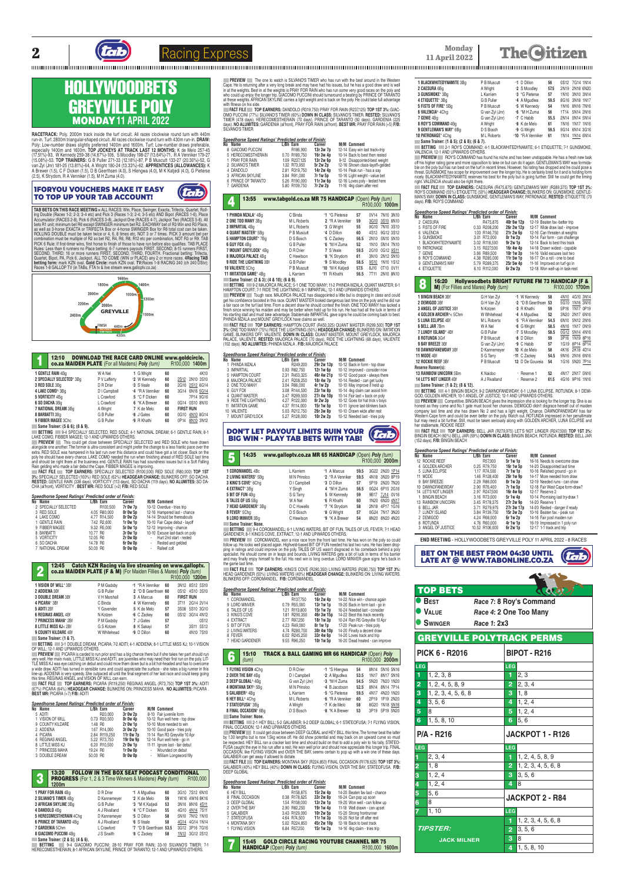



tab

## **11 April 2022**

**The Oitizen** 

**RACETRACK:** Poly. 2000m track inside the turf circuit. All races clockwise round turn with 440m run-in. Turf. 2800m triangular-shaped circuit. All races clockwise round turn with 430m run-in. **DHAW:**<br>Poly: Low-number draws slightly preferred 1400m and 1600m. Turf: Low-number draws preferable,<br>especially 1400m and 160 (17.51%)-93, W Kennedy 259-38 (14.67%)-106, S Moodley 198-27 (13.64%)-71, H A Venniker 179-27<br>(15.08%)-53. **TOP TRAINERS:** G B Puller 271-33 (12.18%)-87, P B Muscutt 133-27 (20.30%)-52, G<br>van Zyl (Jnr) 181-25 (13.81%)-64,

## HOLLYWOODBETS GREYVILLE POLY MONDAY**11 APRIL 2022**

#### 1FORYOU VOUCHERS MAKE IT EASY TO TOP UP YOUR TAB ACCOUNT!

**TAB BETS ON THIS RACE MEETING =** ALL RACES: Win, Place, Swinger, Exacta, Trifecta, Quartet, Roll-ing Double (Races 1-2; 2-3; 3-4 etc) and Pick 3 (Races 1-3; 2-4; 3-5 etc) AND Bipot (RACES 1-6), Place Accumulator (HACES 2-8), Pick 6 (HACES 3-8), Jackpot One (HACES 4-7), Jackpot Two (HACES 5-8). All<br>bets R1 unit, minimum bet R6 except SWINGER minimum bet R2. EACHWAY bet of R3 Win and R3 Place,<br>as well as 3-horse EXACTA o combination must be multiple of H2 so bet H2, H4, H6, H8, H12 etc per combination, NOT H3 or H9. TAB<br>PICK 6 Rule: If first-timer wins, first horse to finish of those to have run before also qualifies. TAB PLACE Hules: Less than 6 runners no Place betting; 6-7 runners payouts FIHST, SECOND; 8-15 runners FIHST,<br>SECOND, THIRD; 16 or more runners FIRST, SECOND, THIRD, FOURTH. Fractional betting: Trifecta,<br>Quartet, Bipot, PA, Pick 6, Races 1-8 GALLOP TV (in TABs, FTA tv & live stream www.galloptv.co.za)

and should be right there at the business end. GENTLE HAIN has had soundness issues but is a Soft Falling<br>Rain gelding who made a fair debut the Cape. FIBBER MAGEE is improving.<br>■ FACT FILE ■ TOP EARNERS: SPECIALLY SELECT **3%:** SPECIALLY SELECTED (100%) RED SOLE (62%) **HEADGEAR CHANGE:** BLINKERS OFF: SO DACHA. **RESTED:** GENTLE RAIN (338 days), VORTICITY (113 days), SO DACHA (119 days). **NO ALUMITES:** SO DA-CHA (al'front), VORTICITY . **BEST MR:** RED SOLE (+2) **F/B:** RED SOLE



| 12:10<br>co.za MAIDEN PLATE (For all Maidens) Poly (turn) |              | <b>DOWNLOAD THE RACE CARD ONLINE www.goldcircle.</b> |    | R100.000 1400m    |
|-----------------------------------------------------------|--------------|------------------------------------------------------|----|-------------------|
| 1 GENTLE RAIN 4Bq                                         | W A Nel      | 1 G Wright                                           | 60 | 4K10              |
| 2 SPECIALLY SELECTED* 3Bq                                 | P V Lafferty | *2 W Kennedy                                         | 60 | 2S12 2N10 3S10    |
| 3 RED SOLE 3Bg                                            | D R Drier    | +3 S Veale                                           | 60 | 2G16 2S12 6G14    |
| 4 LAKE COMO^ 3Bq                                          | D I Campbell | *4 *R A Venniker                                     | 60 | 3G14 6N16 5G14    |
| 5 VORTICITY 4Ba                                           | L Crawford   | 5 *C F Dicken                                        | 60 | 7P14 9G16         |
| 6 SO DACHA 3Bq                                            | L Crawford   | 6 *K A Brewer                                        | 60 | 0G14 0S10 8N10    |
| 7 NATIONAL DREAM 3Bq                                      | A Wright     | 7 K de Melo                                          | 60 | <b>FIRST RUN</b>  |
| 8 BARBATTI 3Bq                                            | G B Puller   | +8 J Gates                                           | 60 | 4N10 8G14<br>0G10 |
| 9 FIBBER MAGEE 3Chc                                       | G B Puller   | +9 R Khathi                                          | 60 | 8N10 3N12<br>0P14 |

9 HBBEH MAGEE 3Chc GB Puller 9 H Khathi 60 0P14 <u>8N10</u> 3N12<br>Bame Trainer: (5 & 6); (8 & 9).<br>BETTING 9:4 SPECIALLY SELECTED, RED SOLE; 4-1 NATIONAL DREAM; 6-1 GENTLE RAIN; 8-1<br>LAKE COMO, FIBBER MAGEE; 12-1 AND UPWARDS OTHER

**PREVIEW** This could get close between SPECIALLY SELECTED and RED SOLE who have draw alongside one another. The former is ultra-consistent and might prefer the change to a less frantic pace over the extra. RED SOLE was hampered in his last run over this distance and could have got a lot closer. Back on the poly he should have every chance. LAKE COMO needed the run when finishing ahead of RED SOLE last time

OF WILL; 12-1 AND UPWARDS OTHERS. **PREVIEW PICARA** is carded to run prior and has a big chance there but if she takes her part should run very well. Her main rivals, LH I LLE MISS KJ and ADHT, are juveniles who may need their first run on the poly. LH-<br>TLE MISS KJ was eye catching on debut and could mow them down but is a bit hot-headed and has to overcome<br>a **PREVIEW** The one to watch is SILVANO'S TIMER who has run with the best around in the Western Cape. He is returning atter a very long break and may have had nis issues, but he has a good draw and is well<br>in at the weights. Best in at the weights is PRAY FOR RAIN who has run some very good races on the poly and<br>who

#### *Speedhorse Speed Ratings' Predicted order of Finish:*

| No Name              |          | L/Bh Earn    | Career          |   | <b>M/M Comment</b>             |
|----------------------|----------|--------------|-----------------|---|--------------------------------|
| 2 SPECIALLY SELECTED |          | R100,500     | <b>7r Ow 7p</b> |   | 10-12 Overdue - tries trip     |
| 3 RED SOLE           |          | 4.05 R80.000 | 8r Ow 5p        |   | 12-16 Hampered last - chance   |
| 4 LAKE COMO          |          | 4.77 R14.500 | 8r Ow 2p        |   | 14-14 Should be thereabouts    |
| 1 GENTLE RAIN        |          | 7.42 R2.600  | $1r$ Ow $1p$    |   | 10-10 Fair Cape debut - layoff |
| 9 FIBBER MAGEE       |          | 9.32 R5.000  | 5r 0w 1p        |   | 12-12 Improving - chance       |
| 8 BARBATTI           | 10.77 RO |              | 3r Ow 1p        |   | 10-10 Excuse last-back on poly |
| 5 VORTICITY          | 12.05 RO |              | 2r Ow Op        |   | - Hurt 2nd start - rested      |
| 6 SO DACHA           | 14.78 RO |              | 6r Ow Op        | ٠ | Rested and gelded              |
| 7 NATIONAL DREAM     | 50.00 RO |              | Or Ow Op        |   | - Rafeef colt                  |

**2:45 Catch KZN Racing via live streaming on www.galloptv.**<br>**co.za MAIDEN PLATE (F & M)** (For Maiden Fillies & Mares) *Poly (turn)*<br>B100.000 1200r R100,000 **1200m 1 10810N OF WILL**<sup>\*</sup> 3Bf **P M Gadsby**  $\cdot$ **1**  $\cdot$ **R** A Venniker **60** 3N12 8S12 5S10<br>**2 ADDIENA** 3Bf **C B PUILER 2**  $\cdot$ **D** B Geerthsen **60** 0S12 4S10 3S10 **b** B Geerthsen **60 2 b** B Geerthsen **60 DOUBLE DREAM** 3Bf V H Marshall **3** A Marcus **60 FIRST RUN PICARA**\* 3Bf C Binda **4** W Kennedy **60** 3T11 2G14 2V14 **ADITI** 2Bf Y Govender **5** K de Melo **57** 3S08 5S10 3G10 **REGINAS ANGEL** 4Bf N Kotzen <sup>+</sup>**6** C Zackey **60** 0S12 3G14 4N12 **7 PRINCESS MAHA\*** 2Bf PM Gadsby 7 J Gates 57 0S12<br>**8 LITTLE MISS KJ**< 2Bf G S K otzen 8 K Sakayi 57 3S11 5S12 **8 LITTLE MISS KJ< 2Bf COUNTY KILDARE** 4Bf W Whitehead <sup>+</sup>**9** D Dillon **60** 4N10 7S10 **Same Trainer: (1 & 7)** 

**BETTING 3-1 DOUBLE DREAM, PICARA; 7-2 ADITI; 4-1 ADDIENA; 8-1 LITTLE MISS KJ; 10-1 VISION** 

PHINDA MZALA and MOUNT GHEYLOCK have claims as well.<br>— **FACT FILE — TOP EARNERS: HAMPTON COURT (FAS5)325) QUANT MASTER (FI299,500) <b>TOP 1ST**<br>3%: ONE TOO MANY (75%) RIDE THE LIGHTNING (50%) **HEADGEAR CHANGE:** BLINKERS ON: I PALACE, VALIENTE. **RESTED:** MAJORCA PALACE (70 days), RIDE THE LIGHTNING (68 days), VALIENTE (102 days). **NO ALUMITES:** PHINDA MZALA . **F/B:** MAJORCA PALACE

**FACT FILE TOP EARNERS:** PICARA (R119,250) REGINAS ANGEL (R73,750) **TOP 1ST 3%:** ADITI (67%) PICARA (64%) **HEADGEAR CHANGE:** BLINKERS ON: PRINCESS MAHA. **NO ALUMITES:** PICARA . **BEST MR:** PICARA (+7) **F/B:** ADITI

**Contractor** 

#### *Speedhorse Speed Ratings' Predicted order of Finish:*

| No Name          | L/Bh Earn |               | Career    | <b>M/M Comment</b>             |
|------------------|-----------|---------------|-----------|--------------------------------|
| 5 ADITI          |           | R20.000       | 3r Ow 2p  | 8-10 Fair juvenile form        |
| 1 VISION OF WILL |           | 0.73 R30.500  | 8r Ow 4p  | 10-12 Run well here - top draw |
| 9 COUNTY KILDARE | 1.48 RO   |               | 2r Ow 1p  | 10-10 More needed to win       |
| 2 ADDIENA        |           | 1.67 R14.000  | 3r Ow 2p  | 10-10 Good pace - tries poly   |
| 4 PICARA         |           | 2.84 R119.250 | 11r Ow 7p | 11-14 Ran R3 Greyville 10 Apr  |
| 6 REGINAS ANGEL  |           | 5.22 R73.750  | 19r Ow 9p | 12-14 Run well here - go in    |
| 8 LITTLE MISS KJ |           | 6.20 R10.500  | 2r Ow 1p  | 11-11 Ignore last - fair debut |
| 7 PRINCESS MAHA  | 19.24 RO  |               | 1r Ow Op  | Wounded on debut               |
| 3 DOUBLE DREAM   | 50.00 RO  |               | Or Ow Op  | - William Longsword filly      |
|                  |           |               |           |                                |

| 13:20<br>3<br><b>PROGRESS</b> (For 1, 2 & 3 Time Winners & Maidens) Poly (turn)<br>1200m |               | <b>FOLLOW IN THE BOX SEAT PODCAST CONDITIONAL</b> |    | R <sub>100,000</sub> |
|------------------------------------------------------------------------------------------|---------------|---------------------------------------------------|----|----------------------|
| 1 PRAY FOR RAIN 4Bq                                                                      | D R Drier     | *1 A Mgudlwa                                      | 60 | 3G10 7S12 6N10       |
| 2 SILVANO'S TIMER 4Bq                                                                    | D Kannemeyer  | *2 K de Melo                                      | 59 | 1W16 4W16 8K16       |
| 3 AFRICAN SKYLINE 3Ba                                                                    | G B Puller    | *3 *M K Katiedi                                   | 53 | 3N16 8N16 4S11       |
| 4 DANDOLO 4Bq                                                                            | A J Rivalland | *4 *C F Dicken                                    | 55 | 4G10 4N14 7S11       |
| 5 HERECOMESTHERAIN 4Chq                                                                  | D Kannemeyer  | *5 D Dillon                                       | 58 | 5N10 7N12 1N10       |
| <b>6 PRINCE OF TARANTO 4Bq</b>                                                           | A J Rivalland | *6 S Veale                                        | 58 | 4G14 4G14 1N14       |
| 7 GARDENIA 5Chm                                                                          | L Crawford    | *7 *D B Geerthsen 53.5                            |    | 3G12 3P16 7G16       |
| 8 GIACOMO PUCCINI 4Bq                                                                    | J S Snaith    | +8 C Zackey                                       | 58 | 1N12 3G12 2S12       |
| Same Trainer: (2 & 5): (4 & 6).                                                          |               |                                                   |    |                      |

Same Trainer: (2 & 5); (4 & 6).<br>■ BETTING 9-4 GIACOMO PUCCINI; 28-10 PRAY FOR RAIN; 33-10 SILVANO'S TIMER; 7-1<br>HERECOMESTHERAIN; 8-1 AFRICAN SKYLINE, PRINCE OF TARANTO; 12-1 AND UPWARDS OTHERS.

**BETTING 2-1 HEY BILL; 5-2 GALABIER; 9-2 DEEP GLOBAL; 6-1 STATEOFUSA; 7-1 FLYING VISION** FINAL OCCASION; 12-1 AND UPWARDS OTHERS.

**IF PREVIEW II** It could get close between DEEP GLOBAL and HEY BILL this time. The former beat the latter by 1.30 lengths but is now 1.5kg worse oft. He did show potential and may back on an upward curve so must<br>be respected. HEY BILL ran a cracker last time and should build on that to add a poly win to his tally. STATEO-<br>FUSA OCCASION, like FLYING VISION and OVER THE BAY, seems certain to pop up with a win one of these days. GALABIER can get away if allowed to dictate.<br>
FACT FILE TOP FARNERS: MONTANA SKY (R224 850) FINAL OCCASION (R178 625) TOP 1ST 3%.

**FACT FILE TOP EARNERS:** DANDOLO (R319,750) PRAY FOR RAIN (R237,125) **TOP 1ST 3%:** GIAC-OMO PUCCINI (77%) SILVANO'S TIMER (60%) **DOWN IN CLASS:** SILVANO'S TIMER. **RESTED:** SILVANO'S<br>TIMER (478 days), HERECOMESTHERAIN (70 days), PRINCE OF TARANTO (92 days), GARDENIA (225<br>days). **NO ALUMITES:** GARDENIA (al'fro SILVANO'S TIMER

#### *Speedhorse Speed Ratings' Predicted order of Finish:*

| No Name             | L/Bh Earn     | Career    | M/M Comment                     |
|---------------------|---------------|-----------|---------------------------------|
| 8 GIACOMO PUCCINI   | R186,900      | 13r 3w 7p | 12-14 Easy win last track+trip  |
| 5 HERECOMESTHERAIN  | 0.70 R189.750 | 16r 3w 4p | 10-14 Back to best then rested  |
| 1 PRAY FOR RAIN     | 1.09 R237,125 | 13r 2w 6p | 9-12 Disappointed-best weight   |
| 2 SILVANO'S TIMER   | 1.32 R73.950  | 5r 2w 2p  | 12-16 Shown class-layoff+gelded |
| 4 DANDOLO           | 2.81 R319.750 | 14r 2w 4p | 10-14 Peak run - has a say      |
| 3 AFRICAN SKYLINE   | 3.84 R91.000  | 7r 1w 5p  | 10-16 Light weight - value bet  |
| 6 PRINCE OF TARANTO | 5.26 R190.000 | 11r 3w 6p | 12-16 Loves poly - tested here  |
| 7 GARDENIA          | 5.80 R109,750 | 7r 2w 2p  | 11-16 4kg claim after rest      |
|                     |               |           |                                 |

## 4 13:55 www.tabgold.co.za MR 75 HANDICAP (Open) *Poly (turn)* R100,000 **1000m**

| 1 PHINDA MZALA* 4Bq             | C Binda     | *1 *G Pieterse          | 57   |      | 0V14 7N10 3N10 |
|---------------------------------|-------------|-------------------------|------|------|----------------|
| 2 ONE TOO MANY 3Bq              | M L Roberts | 2 *R A Venniker         | 59   |      | 3G10 3S10 6N10 |
| 3 IMPARTIAL 4Bg                 | M L Roberts | +3 G Wright             | 55   |      | 9G10 7N10 3S10 |
| 4 QUANT MASTER* 5Bq             | P B Muscutt | <sup>+</sup> 4 D Dillon | 60   |      | 4S12 9G12 3S12 |
| 5 HAMPTON COURT* 7Bq            | D S Bosch   | *5 C Zackey             | 56.5 |      | 2N10 5N10 5N10 |
| 6 GUY FOX 4Bq                   | G B Puller  | *6 *M H Zuma            | 52   |      | 1N10 5N14 7N10 |
| 7 MOUNT GREYLOCK* 4Bq           | D R Drier   | 7 S Veale               | 59.5 |      | 2G10 0G12 9S11 |
| 8 MAJORCA PALACE 4Bq            | C Hewitson  | *8 *K Strydom           | 61   |      | 3N10 2N12 5N10 |
| <b>9 RIDE THE LIGHTNING 3Bf</b> | G B Puller  | +9 S Moodley            | 58.5 |      | 9S10 1N10 1S12 |
| 10 VALIENTE 5Chg                | P B Muscutt | *10 *M K Katjedi        | 57.5 | 8J10 | 0T10 0V11      |
| 11 IMITATION GAME* 4Bq          | L Karriem   | *11 R Khathi            | 56.5 |      | 7T11 2N10 8N10 |
| $0 \t-1$ $(0.001)(0.01)(0.001)$ |             |                         |      |      |                |

11 IMITATION GAME" 4Bg) (4 & 10); (Larriem 11 R Khathi 56.5 7T11 2N10 8N10<br>Bame Trainer: (2 & 3); (4 & 10); (6 & 9).<br>HAMPTON COURT; 7-1 RIDE THE LIGHTNING; 8-1 IMPARTIAL; 12-1 AND UPWARDS OTHERS. 6-1<br>HAMPTON COURT; 7-1 RID

PREVIEW Tough race. MAJORCA PALACE has disappointed a little but is dropping in class and could<br>get his confidence boosted in this race. QUANT MASTER looked dangerous last time on the poly and he did run<br>a fair race on the tinish since winning his maiden and may be better when held up tor his run. He has had all the luck in terms of<br>his starting stall and must take advantage. Stablemate IMPARTIAL gave signs he could be coming back to best.

> **Same Trainer: (1 & 2); (8 & 12). BETTING** 4-1 BINGIN BEACH; 9-2 DAWNOFANEWDAY; 6-1 LUNA ECLIPSE, ROTUNDA; 8-1 DEMI-GOD, GOLDEN ARCHER; 10-1 ANGEL OF JUSTICE; 12-1 AND UPWARDS OTHERS.

> **PREVIEW** Competitive. BINGIN BEACH gives the impression she is looking for the longer trip. She is as honest as they come and No.1 gate must boost her chances. DEMIGOD didn't disgrace herself out of maiden<br>company last time and she has drawn No 2 and has a light weight. Chance. DAWNOFANEVIDAY has fair<br>Western Cape form and but may need a bit further. Still, must be taken seriously along with GOLDEN ARCHER, LUNA ECLIPSE and her stablemate, ROCKIE REEF.

> FACT FILE TOP EARNERS: BELL JAR (R279,975) LET'S NOT LINGER (R247,500) TOP 1ST 3%:<br>BINGIN BEACH (G0%) BELL JAR (59%) DOWN IN CLASS: BINGIN BEACH, ROTUNDA. RESTED: BELL JAR<br>(152 days). F/B: BINGIN BEACH

| Speedhorse Speed Ratings' Predicted order of Finish: |  |               |            |  |                                 |  |  |  |  |
|------------------------------------------------------|--|---------------|------------|--|---------------------------------|--|--|--|--|
| No Name                                              |  | L/Bh Earn     | Career     |  | <b>M/M Comment</b>              |  |  |  |  |
| 1 PHINDA MZALA                                       |  | R249,200      | 29r 2w 13p |  | 10-12 Back in form - top draw   |  |  |  |  |
| 3 IMPARTIAL                                          |  | 0.93 R82.750  | 12r 1w 6p  |  | 10-12 Improved - consider now   |  |  |  |  |
| 5 HAMPTON COURT                                      |  | 2.31 R450.325 | 46r 4w 21p |  | 10-12 Good pace - always there  |  |  |  |  |
| 8 MAJORCA PALACE                                     |  | 2.41 R208.250 | 18r 4w 7p  |  | 10-14 Rested - can get lucky    |  |  |  |  |
| 2 ONE TOO MANY                                       |  | 3.04 R66.000  | 4r 1w 2p   |  | 10-10 May improve if held up    |  |  |  |  |
| 6 GUY FOX                                            |  | 3.08 R144.500 | 23r 1w 8p  |  | 10-14 4kg claim can assist him  |  |  |  |  |
| 4 QUANT MASTER                                       |  | 3.47 R299,500 | 27r 4w 10p |  | 10-14 Fair last + back on poly  |  |  |  |  |
| 9 RIDE THE LIGHTNING                                 |  | 4.27 R122,000 | 8r 2w 3p   |  | 10-12 Goes for hat trick v boys |  |  |  |  |
| 11 IMITATION GAME                                    |  | 4.37 R114.000 | 15r 1w 5p  |  | 10-11 Ignore last-blinkers back |  |  |  |  |
| 10 VALIENTE                                          |  | 5.03 R212.750 | 26r 3w 8p  |  | 10-10 Drawn wide after rest     |  |  |  |  |
| 7 MOUNT GREYLOCK                                     |  | 5.27 R128,000 | 10r 2w 2p  |  | 10-12 Needed last - tries poly  |  |  |  |  |

#### DON'T LET PAYOUT LIMITS RUIN YOUR tab BIG WIN - PLAY TAB BETS WITH TAB!

| 14:35<br>5                | www.galloptv.co.za MR 65 HANDICAP (Open) Poly (turn) |                        |      | R100.000 2000m |  |
|---------------------------|------------------------------------------------------|------------------------|------|----------------|--|
| 1 COROMANDEL 4Bc          | L Karriem                                            | <sup>+1</sup> A Marcus | 59.5 | 3G22 2N20 1P14 |  |
| 2 LIVING WATERS* 5Bq      | M N Prinsloo                                         | *2 *R A Venniker       | 59.5 | 4N18 3N20 8P19 |  |
| 3 KING'S COVE* 6Chq       | D I Campbell                                         | +3 D Dillon            | 57   | 5P19 2N20 7N20 |  |
| 4 EXTRACT* 3Bq            | Y Singh                                              | 4 *M H Zuma            | 56.5 | 0G24 6P15 2G16 |  |
| 5 BIT OF FUN 4Bq          | S G Tarry                                            | 5 W Kennedy            | 59   | 9B17 7J14 0V16 |  |
| 6 TALES OF US 5Bq         | W A Nel                                              | *6 R Khathi            | 60   | 1N20 6N20 4N17 |  |
| 7 HEAD GARDENER* 3Bq      | D C Howells                                          | *7 *K Strydom          | 58   | 2N18 4P17 1G16 |  |
| 8 FEVER* 5Chq             | D S Bosch                                            | *8 G Wright            | 57   | 0G24 7N17 3N20 |  |
| 9 LORD MINVER 3Ba         | C Hewitson                                           | +9 *K A Brewer         | 54   | 8N20 8N20 4N20 |  |
| <b>Come Trainer: None</b> |                                                      |                        |      |                |  |

**Same Trainer: None.<br>■ BETTING ■ 9-4 COROMANDEL; 6-1 LIVING WATERS, BIT OF FUN, TALES OF US, FEVER; 7-1 HEAD<br>GARDENER; 8-1 KING'S COVE, EXTRACT; 12-1 AND UPWARDS OTHERS.** 

**PHEVIEW COHOMANDEL won a nice race from the front last time. He has won on the poly so could<br>follow up. He looks well placed again. Highveld-based BIT OF FUN needed his last two runs. He has been drop-<br>ping in ratings and** and may finally enjoy himself to the full. His next win is long overdue. LORD MINVER gave signs he's back in the game last time

FACT FILE TOP EARNERS: KING'S COVE (R290,350) LIVING WATERS (R280,750) TOP 1ST 3%:<br>HEAD GARDENER (50%) LIVING WATERS (40%) **HEADGEAR CHANGE:** BLINKERS ON: LIVING WATERS.<br>BLINKERS OFF: COROMANDEL. F/B: COROMANDEL

|           |                 | Speedhorse Speed Ratings' Predicted order of Finish: |               |            |                                                           |
|-----------|-----------------|------------------------------------------------------|---------------|------------|-----------------------------------------------------------|
| No Name   |                 |                                                      | L/Bh Earn     | Career     | <b>M/M Comment</b>                                        |
|           | 1 COROMANDEL    |                                                      | R137,750      | 16r 2w 4p  | 14-22 Nice win - chance again                             |
|           | 9 LORD MINVER   |                                                      | 0.79 R55,000  | 13r 1w 1p  | 19-20 Back in form last - go in                           |
|           | 6 TALES OF US   |                                                      | 1.21 R113.800 | 15r 1w 7p  | 16-24 Needed last - consider                              |
|           | 3 KING'S COVE   |                                                      | 1.81 R290.350 | 46r 3w 15p | 14-22 Best this track recently                            |
| 4 EXTRACT |                 |                                                      | 2.77 R97.250  | 18r 1w 3p  | 10-24 Ran R5 Greyville 10 Apr                             |
|           | 5 BIT OF FUN    |                                                      | 4.23 R49.000  | 8r 1w 1p   | 17-20 Peak run - tries poly                               |
|           | 2 LIVING WATERS |                                                      | 4.74 R280,750 | 30r 4w 10p | 14-20 Finally a decent draw                               |
| 8 FEVER   |                 |                                                      | 6.02 R245,250 | 33r 4w 6p  | 14-20 Loves track and trip                                |
|           | 7 HEAD GARDENER |                                                      | 9.55 R96.250  | 10r 1w 5p  | 16-20 Dead heated - can improve                           |
|           |                 |                                                      |               |            |                                                           |
|           | 15:10           |                                                      |               |            | <b>TRACK &amp; BALL GAMING MR 66 HANDICAP (Open) Poly</b> |
|           | (turn)          |                                                      |               |            | R100.000 2000m                                            |
|           |                 |                                                      |               |            |                                                           |

| 1 FLYING VISION 4Chq  | D R Drier       | *1 *S Hlengwa    | 54   | 8N14 5N16 5N16 |  |
|-----------------------|-----------------|------------------|------|----------------|--|
| 2 OVER THE BAY 4Bq    | D I Campbell    | *2 A Mgudlwa     | 53.5 | 1N17 8N17 5N16 |  |
| 3 DEEP GLOBAL^4Bq     | G van Zyl (Jnr) | $+3$ *M H Zuma   | 54.5 | 5N20 7N20 1N20 |  |
| 4 MONTANA SKY^5Ba     | M N Prinsloo    | *4 B Jacobson    | 52.5 | 8N14 8N14 7P14 |  |
| 5 GALABIER^4Bq        | L Karriem       | *5 *G Pieterse   | 59.5 | 4N17 4N20 1N20 |  |
| 6 HEY BILL^4Chq       | M L Roberts     | *6 *R A Venniker | 60   | 2P19 1P19 2N20 |  |
| 7 STATEOFUSA* 3Bq     | A Wright        | *7 K de Melo     | 58   | 8G20 1N18 5N16 |  |
| 8 FINAL OCCASION* 6Bq | D S Bosch       | *8 *K A Brewer   | 53   | 3P19 5P19 5N20 |  |
| Same Trainer: None.   |                 |                  |      |                |  |

**FACT FILE TOP EARNERS:** MONTANA SKY (R224,850) FINAL OCCASION (R178,625) **TOP 1ST 3%:**  GALABIER (40%) HEY BILL (40%) **DOWN IN CLASS:** FLYING VISION, OVER THE BAY, STATEOFUSA. **F/B:**  DEEP GLOBAL

#### *Speedhorse Speed Ratings' Predicted order of Finish:*

| No Name          | L/Bh Earn             | Career     | <b>M/M Comment</b>             |
|------------------|-----------------------|------------|--------------------------------|
| 6 HEY BILL       | R <sub>158</sub> .875 | 15r 2w 4p  | 14-20 Beaten fav last - chance |
| 8 FINAL OCCASION | 0.38 R178.625         | 33r 2w 8p  | 16-24 Can pop up soon          |
| 3 DEEP GLOBAL    | 1.54 R108.000         | 13r 2w 1p  | 19-20 Won well - can follow up |
| 2 OVER THE BAY   | 2.90 R82.250          | 19r 1w 4p  | 11-18 Well drawn - can upset   |
| 5 GALABIER       | 3.43 R129.000         | 10r 2w 5p  | 15-20 Strong frontrunner       |
| 7 STATEOFUSA     | 4.64 R74.500          | 11r 1w 3p  | 16-20 Not far off after rest   |
| 4 MONTANA SKY    | 5.02 R224.850         | 45r 2w 18p | 12-18 Back to best track       |
| 1 FLYING VISION  | 6.84 R57,250          | 15r 1w 2p  | 14-16 4kg claim - tries trip   |
|                  |                       |            |                                |

| <b>15:45 GOLD CIRCLE RACING YOUTUBE CHANNEL MR 75</b> |                |
|-------------------------------------------------------|----------------|
| <b>T</b> HANDICAP (Open) Poly (turn)                  | R100.000 1600m |

| 1 BLACKWHITEDYNAMITE 3Bq                     | P B Muscutt     | <sup>+1</sup> D Dillon | 56   | 0S12 7G14 1N14 |
|----------------------------------------------|-----------------|------------------------|------|----------------|
| 2 CAESURA 6Bq                                | A Wright        | *2 S Moodley           | 57.5 | 2N19 2N18 6N20 |
| 3 GUNSMOKE* 3Bq                              | L Karriem       | *3 *G Pieterse         | 57   | 1N10 3N10 3N14 |
| 4 ETIQUETTE* 3Bq                             | G B Puller      | *4 A Mgudlwa           | 59.5 | 8G16 3N18 1N17 |
| 5 FISTS OF FIRE* 5Bq                         | P B Muscutt     | +5 W Kennedy           | 54   | 1N16 8N16 7N16 |
| 6 VALENCIA^4Chq                              | G van Zyl (Jnr) | $*6$ *M H Zuma         | 56   | 1T14 5N14 2N16 |
| 7 GENIE 4Bq                                  | G van Zyl (Jnr) | *7 C Habib             | 55.5 | 2N14 0N14 5N14 |
| 8 ROY'S COMMAND 4Bq                          | A Wright        | *8 K de Melo           | 61   | 1N16 1N17 1N16 |
| 9 GENTLEMAN'S WAY* 6Bq                       | D S Bosch       | *9 G Wright            | 59.5 | 9G14 6N14 3G16 |
| 10 PATRONAGE* 4Chq                           | M L Roberts     | *10 *R A Venniker      | 61   | 1N14 1N14 6N14 |
| Came Trainer: (1, 8, 5) . (2, 8) . (6, 8, 7) |                 |                        |      |                |

**Same Trainer: (1 & 5); (2 & 8); (6 & 7). BETTING** 2-1 ROY'S COMMAND; 4-1 BLACKWHITEDYNAMITE; 6-1 ETIQUETTE; 7-1 GUNSMOKE, VALENCIA; 12-1 AND UPWARDS OTHERS.

 **PREVIEW** ROY'S COMMAND has found his niche and has been unstoppable. He has a fresh new task off his higher rating gone and more opposition to take on but can do it again. GENTLEMAN'S WAY was formida-ble on the poly but has run best on the turf in recent times. However, his rating has dropped and he could pose a threat. GUNSMOKE has scope for improvement over the longer trip. He is certainly bred for it and is holding form nicely. BLACKWHITEDYNAMITE reserves his best for the poly but is going further. Still he could get the timing right. VALENCIA should also be right there. **FACT FILE TOP EARNERS:** CAESURA (R475,875) GENTLEMAN'S WAY (R289,375) **TOP 1ST 3%:** 

ROY'S COMMAND (55%) ETIQUETTE (50%) **HEADGEAR CHANGE:** BLINKERS ON: GUNSMOKE; GENTLE-MAN'S WAY. **DOWN IN CLASS:** GUNSMOKE, GENTLEMAN'S WAY, PATRONAGE. **RESTED:** ETIQUETTE (70 days). **F/B:** ROY'S COMMAND

|         |  |                 | Speedhorse Speed Ratings' Predicted order of Finish: |  |
|---------|--|-----------------|------------------------------------------------------|--|
| No Nema |  | $IDL$ $T_{num}$ | $P_{\text{aux}}$                                     |  |

| No Name              | L/Bh Earn     | Career     | M/M Comment                     |
|----------------------|---------------|------------|---------------------------------|
| 2 CAESURA            | R475.875      | 40r 6w 12p | 12-19 Beaten fav.-better trip   |
| 5 FISTS OF FIRE      | 0.33 R208.200 | 26r 2w 12p | 12-17 Wide draw last - improve  |
| 6 VALENCIA           | 1.03 R146.750 | 21r 2w 6p  | 12-16 Can threaten at weights   |
| 3 GUNSMOKE           | 3.01 R72.000  | 8r 1w 2p   | 10-14 Fair form - can challenge |
| 1 BLACKWHITEDYNAMITE | 3.02 R118.500 | 9r 2w 1p   | 12-14 Back to best this track   |
| 10 PATRONAGE         | 3.15 R227,500 | 16r 4w 4p  | 14-18 Drawn widest - capable    |
| 7 GENIE              | 3.66 R89.500  | 10r 1w 3p  | 14-16 Valid excuses last two    |
| 8 ROY'S COMMAND      | 4.38 R285,000 | 11r 5w 1p  | 16-17 On a roll - one to beat   |
| 9 GENTLEMAN'S WAY    | 5.79 R289.375 | 25r 5w 4p  | 11-16 Improved on turf-go in    |
| 4 ETIQUETTE          | 6.10 R112,000 | 6r 2w 2p   | 12-18 Won well-up in task-rest  |
|                      |               |            |                                 |

## 8 16:20 Hollywoodbets BRIGHT FUTURE FM 73 HANDICAP (F & M) (For Fillies and Mares) *Poly (turn)* R100,000 **1700m**

| <b>1 BINGIN BEACH 3Bf</b>                         | G H Van Zyl     | *1 W Kennedy             | 58   | 4N10 4G10 3N14 |  |
|---------------------------------------------------|-----------------|--------------------------|------|----------------|--|
| 2 DEMIGOD 3Bf                                     | G H Van Zyl     | *2 *D B Geerthsen 53     |      | 5G10 1N16 3N16 |  |
| 3 ANGEL OF JUSTICE 3Bf                            | N Kotzen        | *3 R Khathi              | 59   | 5P16 1N17 0P19 |  |
| 4 GOLDEN ARCHER <sup><math>\sim</math></sup> 5Chm | W Whitehead     | *4 A Mgudlwa             | 52   | 3N20 2N17 6N16 |  |
| <b>5 LUNA ECLIPSE 4Bf</b>                         | M L Roberts     | *5 *R A Venniker         | 54.5 | 6N10 5N12 2N16 |  |
| 6 BELL JAR 7Bm                                    | W A Nel         | *6 G Wright              | 58.5 | 4N16 1N17 0N19 |  |
| <b>7 LUNDY ISLAND* 4Bf</b>                        | G B Puller      | *7 S Moodley             | 58.5 | 0G12 5N14 4N16 |  |
| 8 ROTUNDA 3Grf                                    | P B Muscutt     | +8 D Dillon              | 59   | 3P16 1N19 8P16 |  |
| <b>9 BAY BREEZE 3Bf</b>                           | G van Zyl (Jnr) | $-9$ C Habib             | 57   | 1G19 8P14 6P14 |  |
| <b>10 DAWNOFANEWDAY 3Bf</b>                       | D Kannemeyer    | 10 K de Melo             | 58   | 4K16 2K18 4D14 |  |
| <b>11 MODE 4Bf</b>                                | S G Tarry       | <sup>+</sup> 11 C Zackey | 54.5 | 9N16 2N16 6N16 |  |
| <b>12 ROCKIE REEF 3Bf</b>                         | P B Muscutt     | 12 D De Gouveia          | 54   | 1G16 5N20 7P14 |  |
| <b>Reserve Runner(s):</b>                         |                 |                          |      |                |  |
| <b>13 RAINBOW UNICORN 5Bm</b>                     | K Naidoo        | + Reserve 1              | 52   | 4N17 2N17 5N16 |  |
| 14 LET'S NOT LINGER 4Bf                           | A J Rivalland   | * Reserve 2              | 61.5 | 4G16 9P16 1N16 |  |
| $C2ma Trainar (1.8.2) (8.8.12)$                   |                 |                          |      |                |  |

| Speedhorse Speed Ratings' Predicted order of Finish: |  |         |                                                                                                                                                                                                                                  |  |                                 |  |  |  |  |  |
|------------------------------------------------------|--|---------|----------------------------------------------------------------------------------------------------------------------------------------------------------------------------------------------------------------------------------|--|---------------------------------|--|--|--|--|--|
| Name                                                 |  |         | Career                                                                                                                                                                                                                           |  | <b>M/M Comment</b>              |  |  |  |  |  |
| 12 ROCKIE REEF                                       |  | R57,000 | 5r 1w 1p                                                                                                                                                                                                                         |  | 16-16 Needs to overcome draw    |  |  |  |  |  |
| 4 GOLDEN ARCHER                                      |  |         | 16r 1w 5p                                                                                                                                                                                                                        |  | 14-20 Disappointed last time    |  |  |  |  |  |
| 5 LUNA ECLIPSE                                       |  |         | 7r 1w 1p                                                                                                                                                                                                                         |  | 10-16 Relished ground - go in   |  |  |  |  |  |
| 11 MODE                                              |  |         | 26r 1w 9p                                                                                                                                                                                                                        |  | 14-17 More needed from draw     |  |  |  |  |  |
| 9 BAY BREEZE                                         |  |         | 8r 1w 3p                                                                                                                                                                                                                         |  | 12-19 Needed runs - can show    |  |  |  |  |  |
| 10 DAWNOFANEWDAY                                     |  |         | 7r 1w 5p                                                                                                                                                                                                                         |  | 12-18 Fair West Cape form-draw? |  |  |  |  |  |
| 14 LET'S NOT LINGER                                  |  |         | 16r 4w 6p                                                                                                                                                                                                                        |  | 12-17 Reserve 2                 |  |  |  |  |  |
| 1 BINGIN BEACH                                       |  |         | 5r 1w 4p                                                                                                                                                                                                                         |  | 10-14 Promising last try-draw 1 |  |  |  |  |  |
| 13 RAINBOW UNICORN                                   |  |         | 27r 2w 9p                                                                                                                                                                                                                        |  | 14-20 Reserve 1                 |  |  |  |  |  |
| 6 BELL JAR                                           |  |         | 27r 3w 17p                                                                                                                                                                                                                       |  | 14-20 Rested - danger if ready  |  |  |  |  |  |
| 7 LUNDY ISLAND                                       |  |         | 15r 3w 2p                                                                                                                                                                                                                        |  | 10-16 Beaten fav. - peak run    |  |  |  |  |  |
| 2 DEMIGOD                                            |  |         | 6r 1w 2p                                                                                                                                                                                                                         |  | 14-16 Fair post maiden run      |  |  |  |  |  |
| 8 ROTUNDA                                            |  |         | 4r 1w 1p                                                                                                                                                                                                                         |  | 16-19 Impressed in 1 poly run   |  |  |  |  |  |
| 3 ANGEL OF JUSTICE                                   |  |         | 6r 2w 1p                                                                                                                                                                                                                         |  | 12-17 1-1 track and trip        |  |  |  |  |  |
|                                                      |  |         | L/Bh Earn<br>0.25 R79.750<br>1.17 R74,500<br>1.46 R128.400<br>2.29 R86,000<br>2.90 R76.400<br>2.97 R247.500<br>3.16 R73.000<br>3.45 R178.375<br>3.71 R279.975<br>3.84 R139.750<br>4.24 R68.000<br>4.76 R60,000<br>10.52 R106.000 |  |                                 |  |  |  |  |  |

**END MEETING** - HOLLYWOODBETS GREYVILLE POLY 11 APRIL 2022 - 8 RACES



line-up. ADDIENA is very speedy. She outpaced all until the tinal segment of her last race and could keep going<br>this time. REGINAS ANGEL and VISION OF WILL can earn.

| LEG                        |                     | <b>LEG</b>     |                                |
|----------------------------|---------------------|----------------|--------------------------------|
| $\overline{1}$             | 1, 2, 3, 8          | 1              | 2, 3                           |
| $\overline{2}$             | 1, 2, 4, 5, 8, 9    | $\overline{2}$ | 2, 3, 4                        |
| $\overline{\mathbf{3}}$    | 1, 2, 3, 4, 5, 6, 8 | З.             | 1, 8                           |
| $\overline{\bf{4}}$        | 3, 5, 6             | 4              | 1, 2, 4                        |
| $\overline{\mathbf{5}}$    | 8                   | 5              | 1, 2, 4                        |
| 6                          | 1, 5, 8, 10         | 6.             | 5,6                            |
|                            | <b>P/A - R216</b>   |                | JACKPOT 1 - R126               |
| <b>LEG</b>                 |                     | <b>LEG</b>     |                                |
| 1                          | 2, 3, 4             | 1.             | $\vert 1, 2, 4, 5, 8, 9 \vert$ |
|                            | 1, 8                |                | <b>2</b> 1, 2, 3, 4, 5, 6, 8   |
| 2<br>3<br>4<br>5<br>6<br>7 | 1, 2, 4             | 3              | 3, 5, 6                        |
|                            | 1, 2, 4             | 4              | 18                             |
|                            | 5,6                 |                | JACKPOT 2 - R84                |
|                            | 8                   |                |                                |
|                            | 1, 10               | <b>LEG</b>     |                                |
|                            |                     | 1              | 1, 2, 3, 4, 5, 6, 8            |
|                            | <b>TIPSTER:</b>     | $\overline{2}$ | 3, 5, 6                        |
|                            | <b>JACK MILNER</b>  | 3              | 8                              |
|                            |                     | 4              | 1, 5, 8, 10                    |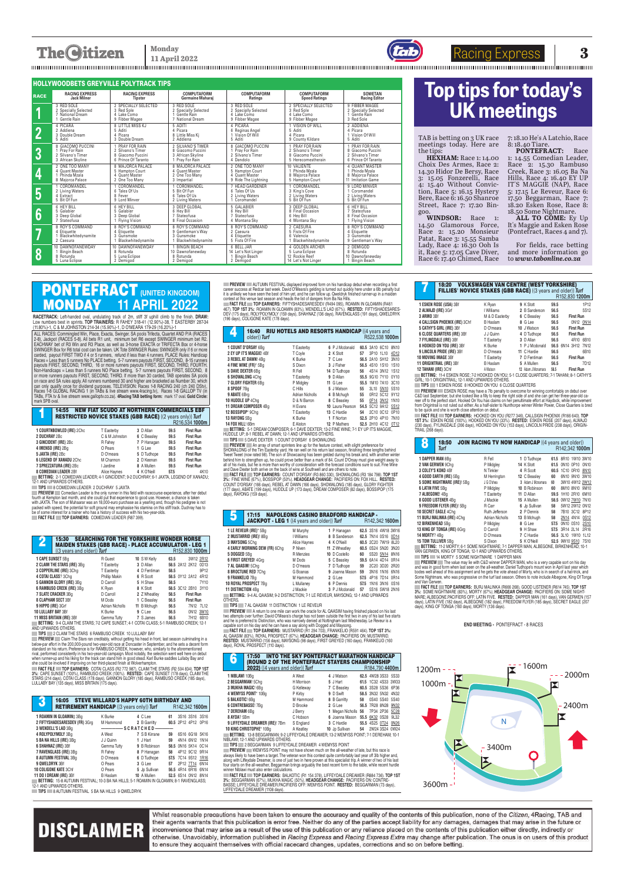## **The Citizen**

Racing Express **Monday 11 April 2022 3**

|                         |                       | <b>HOLLYWOODBETS GREYVILLE POLYTRACK TIPS</b> |                      |                      |                      |                      |
|-------------------------|-----------------------|-----------------------------------------------|----------------------|----------------------|----------------------|----------------------|
| <b>RACE</b>             | <b>RACING EXPRESS</b> | <b>RACING EXPRESS</b>                         | <b>COMPUTAFORM</b>   | <b>COMPUTAFORM</b>   | <b>COMPUTAFORM</b>   | <b>SOWETAN</b>       |
|                         | <b>Jack Milner</b>    | <b>Tipster</b>                                | Germaine Maharai     | Ratings              | <b>Speed Ratings</b> | <b>Racing Editor</b> |
| 1                       | 3 RED SOLE            | 2 SPECIALLY SELECTED                          | 3 RED SOLE           | 3 RED SOLE           | 2 SPECIALLY SELECTED | 9 FIBBER MAGEE       |
|                         | 2 Specially Selected  | 3 Red Sole                                    | 2 Specially Selected | 2 Specially Selected | 3 Red Sole           | 2 Specially Selected |
|                         | 7 National Dream      | 4 Lake Como                                   | Gentle Rain          | 4 Lake Como          | 4 Lake Como          | Gentle Rain          |
|                         | 1 Gentle Rain         | 9 Fibber Magee                                | 7 National Dream     | 9 Fibber Magee       | 9 Fibber Magee       | 3 Red Sole           |
| $\overline{\mathbf{2}}$ | 4 PICARA              | 8 LITTLE MISS KJ                              | 5 ADITI              | 4 PICARA             | 1 VISION OF WILL     | 2 ADDIENA            |
|                         | 2 Addiena             | 5 Aditi                                       | 4 Picara             | 6 Reginas Angel      | 5 Aditi              | 4 Picara             |
|                         | 3 Double Dream        | 4 Picara                                      | 8 Little Miss Ki     | 1 Vision Of Will     | 4 Picara             | 1 Vision Of Will     |
|                         | 5 Aditi               | 3 Double Dream                                | 2 Addiena            | 5 Aditi              | 9 County Kildare     | 5 Aditi              |
| 3                       | 8 GIACOMO PUCCINI     | 1 PRAY FOR RAIN                               | 2 SILVANO'S TIMER    | 8 GIACOMO PUCCINI    | PRAY FOR RAIN        | PRAY FOR RAIN        |
|                         | 1 Pray For Rain       | 2 Silvano's Timer                             | 8 Giacomo Puccini    | 1 Pray For Rain      | 2 Silvano's Timer    | 8 Giacomo Puccini    |
|                         | 2 Silvano's Timer     | 8 Giacomo Puccini                             | 3 African Skyline    | 2 Silvano's Timer    | 8 Giacomo Puccini    | 2 Silvano's Timer    |
|                         | 3 African Skyline     | 6 Prince Of Taranto                           | 1 Pray For Rain      | 4 Dandolo            | 5 Herecomestherain   | 6 Prince Of Taranto  |
| 4                       | 2 ONE TOO MANY        | 8 MAJORCA PALACE                              | 8 MAJORCA PALACE     | 2 ONE TOO MANY       | 10 VALIENTE          | 4 OUANT MASTER       |
|                         | 4 Quant Master        | 5 Hampton Court                               | 4 Quant Master       | 5 Hampton Court      | 1 Phinda Mzala       | 1 Phinda Mzala       |
|                         | 1 Phinda Mzala        | 4 Quant Master                                | 2 One Too Many       | 4 Quant Master       | 8 Maiorca Palace     | 8 Maiorca Palace     |
|                         | 8 Majorca Palace      | 2 One Too Many                                | 3 Impartial          | 9 Ride The Lightning | 5 Hampton Court      | 11 Imitation Game    |
| 5                       | COROMANDEL            | 1 COROMANDEL                                  | COROMANDEL           | 7 HEAD GARDENER      | COROMANDEL           | 9 LORD MINVER        |
|                         | 2 Living Waters       | 6 Tales Of Us                                 | 5 Bit Of Fun         | 6 Tales Of Us        | 3 King's Cove        | 1 Coromandel         |
|                         | 4 Extract             | 8 Fever                                       | 6 Tales Of Us        | 2 Living Waters      | 2 Living Waters      | 2 Living Waters      |
|                         | 5 Bit Of Fun          | 9 Lord Minver                                 | 2 Living Waters      | 1 Coromandel         | 5 Bit Of Fun         | 5 Bit Of Fun         |
| 6                       | 6 HEY BILL            | 6 HEY BILL                                    | 3 DEEP GLOBAL        | 5 GALABIER           | 3 DEEP GLOBAL        | 6 HEY BILL           |
|                         | 5 Galabier            | 5 Galabier                                    | 6 Hev Bill           | 6 Hev Bill           | 8 Final Occasion     | 7 Stateofusa         |
|                         | 3 Deep Global         | 3 Deep Global                                 | 7 Stateofusa         | 7 Stateofusa         | 6 Hev Bill           | 8 Final Occasion     |
|                         | 7 Stateofusa          | 1 Flying Vision                               | 8 Final Occasion     | 4 Montana Skv        | 4 Montana Sky        | 1 Flying Vision      |
| 7                       | 8 ROY'S COMMAND       | 8 ROY'S COMMAND                               | 8 ROY'S COMMAND      | 8 ROY'S COMMAND      | 2 CAESURA            | 8 ROY'S COMMAND      |
|                         | 4 Etiquette           | 4 Etiquette                                   | 9 Gentleman's Wav    | 2 Caesura            | 5 Fists Of Fire      | 4 Etiquette          |
|                         | Blackwhitedynamite    | 3 Gunsmoke                                    | 3 Gunsmoke           | 4 Etiquette          | 6 Valencia           | 3 Gunsmoke           |
|                         | 2 Caesura             | Blackwhitedynamite                            | Blackwhitedynamite   | 5 Fists Of Fire      | 1 Blackwhitedynamite | 9 Gentleman's Wav    |
| 8                       | 10 DAWNOFANEWDAY      | 10 DAWNOFANEWDAY                              | 1 BINGIN BEACH       | 6 BELL JAR           | 4 GOLDEN ARCHER      | 2 DEMIGOD            |
|                         | Bingin Beach          | 8 Rotunda                                     | 10 Dawnofanewday     | 14 Let's Not Linger  | 5 Luna Eclipse       | 8 Rotunda            |
|                         | 8 Rotunda             | 5 Luna Eclipse                                | 8 Rotunda            | Bingin Beach         | 12 Rockie Reef       | 10 Dawnofanewday     |
|                         | 5 Luna Eclipse        | 2 Demigod                                     | 2 Demigod            | 2 Demigod            | 14 Let's Not Linger  | <b>Bingin Beach</b>  |

TAB is betting on 3 UK race meetings today. Here are the tips:

**HEXHAM:** Race 1: 14.00 Choix Des Armes, Race 2: 14.30 Hidor De Bersy, Race 3: 15.05 Fonzerelli, Race 4: 15.40 Without Conviction, Race 5: 16.15 Hystery Bere, Race 6: 16.50 Shanroe Street, Race 7: 17.20 Bingoo.

> For fields, race betting and more information go to *www.tabonline.co.za*

## **PONTEFRACT (UNITED KINGDOM)**<br>**MONDAY** 11 APRIL 2022 MONDAY **11 APRIL 2022**

**RACETRACK:** Left-handed oval, undulating track of 2m, stiff 3f uphill climb to the finish. **DRAW:** Low numbers best in sprints. **TOP TRAINERS:** R FAHEY 318-41 (12.90%)-38, T EASTERBY 287-34 (11.80%)-1, C & M JOHNSTON 214-34 (15.90%)-1, D O'MEARA 179-29 (16.20%)-1

**WINDSOR:** Race 1: 14.50 Glamorous Force, Race 2: 15.20 Monsieur Patat, Race 3: 15.55 Samba Lady, Race 4: 16.30 Ooh Is it, Race 5: 17.05 Cave Diver, Race 6: 17.40 Chimed, Race

7: 18.10 He's A Latchio, Race 8: 18.40 Tiare.

**PONTEFRACT:** Race 1: 14.55 Comedian Leader, Race 2: 15.30 Rambuso Creek, Race 3: 16.05 Ba Na Hills, Race 4: 16.40 EY UP IT'S MAGGIE (NAP), Race 5: 17.15 Le Reveur, Race 6: 17.50 Beggarman, Race 7: 18.20 Esken Rose, Race 8: 18.50 Some Nightmare.

 **TIPS** 2 CLAIM THE STARS 6 RAMBUSO CREEK 10 LULLABY BAY  **PREVIEW** Claim The Stars ran creditably, without getting his head in front, last season culminating in a below-par effort in the 200,000-pound two-year-old race at Doncaster in September, and he sets a decent form standard on his return. Preference is for HAMBUSO CHEEK, nowever, who, similarly to the atorementioned<br>rival, performed consistently in his two-year-old campaign. Most notably, the selection went well here on debut<br>when ru

PHEVIEW — AUTUMN FESTIVAL displayed improved form on his handicap debut when recording a first<br>career success at Redcar last week. David O'Meara's gelding is turned out quickly here under a 6lb penalty but<br>It is unlikely w

contest at this venue last season and neads the list of dangers from Ba Wa Hills.<br>— FACT FILE — TOP EARNERS: FIFTYSHADESARESDEV (R494 095), ROAMIN IN GLOAMIN (R461<br>467). TOP 1ST 3%: ROAMIN IN GLOAMIN (83%), WENDELL'S LAD (

**ALL TO COME:** Ey Up It's Maggie and Esken Rose (Pontefract, Races 4 and 7).



 ALL RACES: Commingled Win, Place, Exacta, Swinger. SA pools Trifecta, Quartet AND P/A (RACES 2-8), Jackpot (HACES 5-8). All bets H1 unit, minimum bet H6 except SWINGEH minimum bet H2.<br>EACHWAY bet of R3 Win and R3 Place, as well as 3-horse EXACTA or TRIFECTA Box or 4-horse<br>SWINGER Box for R6 total cost can be taken carded, payout HHST I WO it 4 or 5 runners, retund it less than 4 runners. PLACE Rules: Handicap<br>Races = Less than 5 runners No PLACE betting, 5-7 runners payouts FIRST, SECOND, 8-15 runners<br>Payouts FIRST, SECOND, THIRD, 1 can only quality once for dividend purposes. I ELEVISION: Haces 1-8 HACING 240 (ch 240 DStv),<br>Races 1-8 GLOBAL RACING 1 (in TABs & live stream www.4racing.tv), Races 1-8 GALLOP TV (in<br>TABs, FTA tv & live stream www.gallopt mark SPB oval.

## **14:55 NEW FIAT SCUDO AT NORTHERN COMMERCIALS EBF**<br>RESTRICTED NOVICE STAKES (GBB RACE) ((2 years only)) *Turf*

|                                |                   |             |      | H216.534 1000m   |
|--------------------------------|-------------------|-------------|------|------------------|
| 1 COURTNBOWLED (IRE) 2Chc      | <b>T</b> Easterby | 3 D Allan   | 59.5 | <b>First Run</b> |
| <b>2 DUCHRAY 2Bc</b>           | C & M Johnston    | 6 C Beasley | 59.5 | <b>First Run</b> |
| 3 GINCIDENT (IRE) 2Bc          | R Fahey           | 7 P Hanagan | 59.5 | <b>First Run</b> |
| 4 IMENSO (IRE) 2Bq             | O Pears           | 1 G Lee     | 59.5 | <b>First Run</b> |
| 5 JAXTA (IRE) 2Bc              | D O'meara         | 5 D Tudhope | 59.5 | <b>First Run</b> |
| <b>6 LEGEND OF XANADU 2Chc</b> | M Channon         | 2 D Keenan  | 59.5 | <b>First Run</b> |
| 7 SPREZZATURA (IRE) 2Bc        | I Jardine         | 8 A Mullen  | 59.5 | <b>First Run</b> |
| <b>8 COMEDIAN LEADER 2Bf</b>   | Alice Havnes      | 4 K O'Neill | 57.5 | 4K10             |

**8 COMEDIAN LEADER** 2 B f Alice Haynes **4** K O'Neill **57.5** 4K10  **BETTING :** 2-1 COMEDIAN LEADER; 4-1 GINCIDENT; 9-2 DUCHRAY; 6-1 JAXTA, LEGEND OF XANADU; 12-1 AND UPWARDS OTHERS.

**TIPS 8 COMEDIAN LEADER 2 DUCHRAY 5 JAXTA** 

PHEVIEW — Comedian Leader is the only runner in this held with racecourse experience, after her debut<br>fourth at Kempton last month, and she could put that experience to good use. However, a chance is taken<br>with JAXTA. The packed with speed, the potential for soft ground may emphasise his stamina on this stiff track. Duchray has to be of some interest for a trainer who has a history of success with his two-year-olds.

**FACT FILE TOP EARNERS:** COMEDIAN LEADER (R87 399)

| 15:30<br>2                                                                                          | <b>SEARCHING FOR THE YORKSHIRE WONDER HORSE</b> |              |      |                            |                  |
|-----------------------------------------------------------------------------------------------------|-------------------------------------------------|--------------|------|----------------------------|------------------|
| <b>MAIDEN STAKES (GBB RACE) - PLACE ACCUMULATOR - LEG 1</b><br>$((3 \text{ years and older}))$ Turf |                                                 |              |      | R <sub>152,830</sub> 1000m |                  |
| 1 CAPE SUNSET 5Bq                                                                                   | R Guest                                         | 10 S W Kelly | 63.5 | 3W12 2R12                  |                  |
| 2 CLAIM THE STARS (IRE) 3Bq                                                                         | T Easterby                                      | 3 D Allan    |      | 58.5 2A12 2K12 0D13        |                  |
| 3 COPPERLINE (IRE) 3Chq                                                                             | T Easterby                                      | 4 D Fentiman | 58.5 |                            | 9P <sub>12</sub> |
| 4 COTAI CLASS? 3Cha                                                                                 | Phillip Makin                                   | 6 R Scott    |      | 58.5 0Y12 2A12 4R12        |                  |
| 5 GANNON GLORY (IRE) 3Bq                                                                            | D Carroll                                       | 5 H Shaw     | 58.5 |                            | 7Y10             |
| 6 RAMBUSO CREEK (IRE) 3Bq                                                                           | K Ryan                                          | 8 K Stott    |      | 58.5 3C12 2B10 3Y10        |                  |
| 7 SLATE CRACKER 3Bq                                                                                 | D Carroll                                       | 2 Z Wheatley | 58.5 | <b>First Run</b>           |                  |
| <b>8 CLAPHAM SECT 3Bf</b>                                                                           | M Dods                                          | 1 C Beasley  | 56.5 | <b>First Run</b>           |                  |
| 9 HIPPO (IRE) 3Grf                                                                                  | Adrian Nicholls                                 | 11 B Mchuah  | 56.5 | 7N12 7L12                  |                  |
| <b>10 LULLABY BAY 3Bf</b>                                                                           | K Burke                                         | 9 C Lee      | 56.5 | 0N12 3W10                  |                  |
| <b>11 MISS BRITAIN (IRE) 3Bf</b>                                                                    | Gemma Tutty                                     | 7 S James    | 56.5 | 7H12 6B10                  |                  |
| BETTING: 9-4 CLAIM THE STARS: 7-2 CAPE SUNSET: 4-1 COTAI CLASS: 5-1 RAMBUSO CREEK: 12-1             |                                                 |              |      |                            |                  |

AND UPWARDS OTHERS.

PREVIEW ESKEN ROSE may have a 7lb penalty to overcome for winning comfortably on debut over<br>C&D last September, but she looked like a filly to keep the right side of and she can get her three-year-old ca<br>reer off to the pe to be quick and she is worth close attention on debut.

**FACT FILE TOP EARNERS:** COTAI CLASS (R2 772 987), CLAIM THE STARS (R2 504 834). **TOP 1ST 3%:** CAPE SUNSET (100%), RAMBUSO CREEK (100%). **RESTED:** CAPE SUNSET (178 days), CLAIM THE STARS (214 days), COTAI CLASS (178 days), GANNON GLORY (185 days), RAMBUSO CREEK (185 days), LULLABY BAY (135 days), MISS BRITAIN (175 days).

FACT FILE TOP EARNERS: HOOKED ON YOU (R277 346), CALLSIGN PHOENIX (R166 640). TOP<br>1ST 3%: ESKEN ROSE (100%), HOOKED ON YOU (33%). RESTED: ESKEN ROSE (207 days), ALWAJD<br>(230 days), FYLINGDALE (266 days), HOOKED ON YOU (153 TRAIL (268 days).

| J                          | 16:05<br><b>RETIREMENT HANDICAP</b> ((3 years only)) Turf                                                           | <b>STEVE WILLARD'S HAPPY 60TH BIRTHDAY AND</b> |               |    | R142.342 1600m      |                |  |
|----------------------------|---------------------------------------------------------------------------------------------------------------------|------------------------------------------------|---------------|----|---------------------|----------------|--|
|                            | 1 ROAMIN IN GLOAMIN‡ 3Bq                                                                                            | K Burke                                        | 4 C Lee       | 61 | 3S16 3S16 3S16      |                |  |
|                            | 2 FIFTYSHADESARESDEV (FR) 3Grg                                                                                      | M Hammond                                      | 2 B Garritty  |    | 60.5 2P12 4P12 0P16 |                |  |
|                            | 3 WENDELL'S LAD 3Bq                                                                                                 | ——————— SCRATCHED-                             |               |    |                     |                |  |
|                            | 4 ROLYPOLYMOLY 3Bq                                                                                                  | A West                                         | 7 S B Kirrane | 59 |                     | 6S16 6G18 5K16 |  |
|                            | 5 BA NA HILLS (IRE) 3Bq                                                                                             | J J Quinn                                      | 1 J Hart      | 59 |                     | 4N14 6N12 1N14 |  |
| <b>6 SHAHNAZ (IRE) 3Bf</b> |                                                                                                                     | Gemma Tutty                                    | 9 B Robinson  |    | 58.5 0N16 5K14 0C14 |                |  |
|                            | 7 RAVENGLASS (IRE) 3Bq                                                                                              | R Fahey                                        | 8 P Hanagan   | 58 |                     | 4P12 9C12 9R14 |  |
|                            | 8 AUTUMN FESTIVAL 3Bq                                                                                               | D O'meara                                      | 6 D Tudhope   |    | 57.5 7C14 9S12 1R16 |                |  |
| 9 QWELDRYK 3Bf             |                                                                                                                     | O Pears                                        | 3 G Lee       | 57 | 2P12 7T14 6N14      |                |  |
|                            | <b>10 COLIGONE KATE 3Chf</b>                                                                                        | O Pears                                        | 5 Jp Sullivan |    | 56.5 4R14 6R16 6N14 |                |  |
|                            | 11 DO I DREAM (IRE) 3Bf                                                                                             | B Haslam                                       | 10 A Mullen   |    | 52.5 6S14 0N12 8N14 |                |  |
|                            | BETTING: 15-8 AUTUMN FESTIVAL: 10-3 BA NA HILLS: 5-1 ROAMIN IN GLOAMIN: 8-1 RAVENGLASS:<br>12-1 AND UPWARDS OTHERS. |                                                |               |    |                     |                |  |

PREVIEW The value may lie with C&D winner DAPPER MAN, who is a very capable sort on his day.<br>And was in good form when last seen on the all-weather. Daniel Tudhope's mount won in April last year which<br>bodes well ahead of t Some Nightmare, who was progressive on the turf last season. Others to note include Albegone, King Of Tonga and Van Gerwen.

FACT FILE — TOP EARNERS: BURJ MALINKA (R666 268), GOOD LISTENER (R614 745), TOP 1ST<br>3%: SOME NIGHTMARE (83%), MORTY (67%). **HEADGEAR CHANGE**: PACIFIERS ON: SOME NIGHT<br>MARE;ALBEGONE.PACIFIERS OFF: LATIN FIVE. **RESTED:** DAPP days), KING OF TONGA (160 days), MORTY (136 days).

|                          | 16:40 RIU HOTELS AND RESORTS HANDICAP ((4 years and<br>older)) Turf                  |                 |                  |    | R522.538 1000m      |  |
|--------------------------|--------------------------------------------------------------------------------------|-----------------|------------------|----|---------------------|--|
|                          | 1 COUNT D'ORSAY 6Bq                                                                  | T Easterby      | 6 P J Mcdonald   |    | 60.5 3A10 6C10 8N10 |  |
|                          | 2 EY UP IT'S MAGGIE! 4Bf                                                             | T Coyle         | 2 K Stott        | 57 | 3P10 1L10 4D12      |  |
|                          | 3 REBEL AT DAWN! 4Ba                                                                 | K Burke         | 7 C Lee          |    | 56.5 2A10 5H12 3N10 |  |
|                          | 4 FINE WINE (FR)* 5Bq                                                                | S Dixon         | 3 J Fisher       |    | 56.5 4S10 1S10 1S10 |  |
| <b>5 DAVE DEXTER 6Bq</b> |                                                                                      | R Fell          | 14 D Tudhope     | 56 | 4S14 3N12 1S12      |  |
|                          | 6 SHOWALONG 4Chq                                                                     | T Easterby      | 9 D Allan        |    | 55.5 9G10 7Y10 0Y10 |  |
|                          | 7 GLORY FIGHTER 6Ba                                                                  | P Midgley       | 11 G Lee         |    | 55.5 1M10 7A10 3C10 |  |
| 8 SPOOF 7Bq              |                                                                                      | C Hills         | 5 J Watson       | 55 | 3L10 5N10 5S10      |  |
| 9 ABATE 6Brg             |                                                                                      | Adrian Nicholls | 4 B Mchuah       | 55 | 0R12 5C12 9Y12      |  |
| 10 HUDDLE UP 4Chg        |                                                                                      | D & N Barron    | 8 C Beasley      | 55 | 0F14 3N12 1N10      |  |
|                          | 11 DREAM COMPOSER 4Bq                                                                | H Evans         | 10 Laura Pearson |    | 54.5 5C12 9A12 5S12 |  |
| 12 BOSSIPOP* 9Chq        |                                                                                      | T Easterby      | 13 C Hardie      | 54 | 2C10 0C12 0P10      |  |
| 13 RAYONG 5Ba            |                                                                                      | K Burke         | 1 F Norton       |    | 52.5 2P10 4P10 7N10 |  |
| 14 FOX HILL! 6Bm         |                                                                                      | E Alston        | 12 P Mathers     |    | 52.5 2H10 4C12 0T12 |  |
|                          | BETTING: 5-1 DREAM COMPOSER; 6-1 DAVE DEXTER; 13-2 FINE WINE; 7-1 EY UP IT'S MAGGIE, |                 |                  |    |                     |  |
|                          | HUDDLE UP; 8-1 REBEL AT DAWN; 12-1 AND UPWARDS OTHERS.                               |                 |                  |    |                     |  |

**TIPS** 5 DAVE DEXTER 1 COUNT D'ORSAY 6 SHOWALONG<br>**PREVIEW** An array of smart sprinters line up for the feature contest, with slight preference for

SHOWALONG of the lim Lasteroy yard. He ran well on his return last esason, funshing three lengths benund<br>Tweet Tweet (now rated 98). The son of Showcasing has been gelded during his break and, with another winter<br>behind hi

3%: FINE WINE (67%), BOSSIPOP (50%). **HEADGEAR CHANGE:** PACIFIERS ON: FOX HILL. **RESTED:**<br>COUNT D'ORSAY (166 days), REBEL AT DAWN (166 days), SHOWALONG (185 days), GLORY FIGHTER<br>(177 days), ABATE (199 days), HUDDLE UP (173

|                    | 17:15 NAPOLEONS CASINO BRADFORD HANDICAP -<br><b>JACKPOT - LEG 1</b> ((4 years and older)) Turf |                         |                              |    | R142,342 1600m                             |  |
|--------------------|-------------------------------------------------------------------------------------------------|-------------------------|------------------------------|----|--------------------------------------------|--|
|                    | 1 LE REVEUR (IRE)* 5Bg<br>2 MUSTARRID (IRE)! 8Bq                                                | M Murphy<br>I Williams  | 1 P Hanagan<br>8 B Sanderson |    | 62.5 3S16 4W18 3W16<br>62.5 7N14 0S16 0D14 |  |
| 3 MAYSONG 5Chq     | 4 EARLY MORNING DEW (FR) 6Chq                                                                   | Alice Haynes<br>P Niven | 4 K O'Neill<br>11 Z Wheatlev |    | 60.5 2C20 7W19 8L20<br>60.5 0S24 5N20 3N20 |  |
| 5 DOGGED 5Ba       |                                                                                                 | R Menzies               | 10 D Costello                | 60 | 5S20 5N14 8N16                             |  |
| 7 AL QAASIM! 5Chq  | 6 FIRST GREYED! 4Grq                                                                            | M Dods<br>D O'meara     | 5 C Beasley<br>7 D Tudhope   |    | 59.5 6A14 4D14 0R14<br>59 2C20 3D20 2R20   |  |
| 9 FRANKELIO 7Bq    | 8 BROCTUNE RED 7Chq                                                                             | G Boanas<br>M Hammond   | 9 Joanna Mason<br>2 G Lee    | 59 | 3N16 1N16 6N16<br>57.5 4P16 7D14 0R14      |  |
| 11 DISTINCTION 4Bq | 10 ROYAL PROSPECT 7Bq                                                                           | L Mullaney<br>J Mackie  | 6 P Dennis<br>3 P J Mcdonald | 57 | 57.5 1N16 3N16 0S16<br>5S16 5W18 2N16      |  |
| חחו ודג            | BETTING: 9-4 AL QAASIM; 9-2 DISTINCTION; 7-1 LE REVEUR, MAYSONG; 12-1 AND UPWARDS               |                         |                              |    |                                            |  |

OTHERS.  **TIPS** 7 AL QAASIM 11 DISTINCTION 1 LE REVEUR

**PREVIEW And A return to one mile can work the oracle for AL QAASIM having finished placed on his last<br>two attempts over further. David O'Meara's charge has not been outside the first two in any of his last five starts<br>and** 

**6** 17:50 INTO THE SKY PONTEFRACT MARATHON HANDICAP (ROUND 2 OF THE PONTEFRACT STAYERS CHAMPIONSHIP

| <b>2022)</b> ((4 years and older)) <b>Turf</b>                                                                        |            |  |                     |    | H <sub>184,790</sub> 4400m |  |  |
|-----------------------------------------------------------------------------------------------------------------------|------------|--|---------------------|----|----------------------------|--|--|
| 1 NIBLAWI 10Bq                                                                                                        | A West     |  | 4 J Watson          |    | 62.5 4W28 3S33 5S33        |  |  |
| 2 BEGGARMAN! 5Chq                                                                                                     | H Morrison |  | 5 J Hart            |    | 61.5 1C32 4S33 3W33        |  |  |
| 3 MUKHA MAGIC! 6Bq                                                                                                    | G Kelleway |  | 7 C Beasley         |    | 60.5 3S28 5S36 6P36        |  |  |
| 4 WEMYSS POINT* 10Bq                                                                                                  | P Kirby    |  | 9 D Swift           |    | 58.5 3N32 5N32 4N32        |  |  |
| 5 BALKOTIC! 6Bq                                                                                                       | M Hammond  |  | 8 B Garritty        | 58 | 0S40 5S40 5S40             |  |  |
| 6 CONTREBASSE! 7Bg                                                                                                    | D Brooke   |  | 2 G Lee             |    | 56.5 7R28 8N28 9N32        |  |  |
| 7 DEREHAM 6Bq                                                                                                         | J Berry    |  | 1 Megan Nicholls 56 |    | 7P34 2P36 5C28             |  |  |
| 8 AYDA? 5Bm                                                                                                           | C Hobson   |  | 6 Joanna Mason      |    | 55.5 6K32 0S28 9L32        |  |  |
| <b>9 LIFFEYDALE DREAMER (IRE)! 7Bm</b>                                                                                | S England  |  | 3 C Hardie          |    | 55.5 4S25 0T24 0N26        |  |  |
| <b>10 KING CHRISTOPHE* 10Bq</b>                                                                                       | A Keatley  |  | 10 Jp Sullivan      | 54 | 2W24 3S24 0W24             |  |  |
| BETTING: 13-8 BEGGARMAN: 9-2 LIFFEYDALE DREAMER: 13-2 WEMYSS POINT: 7-1 DEREHAM: 10-1                                 |            |  |                     |    |                            |  |  |
| NIBLAWI: 12-1 AND UPWARDS OTHERS.                                                                                     |            |  |                     |    |                            |  |  |
| <b>TIPS</b> 2 BEGGARMAN 9 LIFFEYDALE DREAMER 4 WEMYSS POINT                                                           |            |  |                     |    |                            |  |  |
| <b>PREVIEW</b> WEMYSS POINT may not have shown much on the all-weather of late, but this race is                      |            |  |                     |    |                            |  |  |
| always likely to have been a target. The veteran won this contest quite comfortably last year off 3lb higher and,     |            |  |                     |    |                            |  |  |
| along with Liffeydale Dreamer, is one of just two in here proven at this specialist trip. A winner of two of his last |            |  |                     |    |                            |  |  |
| four starts on the all-weather, Beggarman brings arguably the best recent form to the table, while recent hurdle      |            |  |                     |    |                            |  |  |
| winner Niblawi must also enter calculations.                                                                          |            |  |                     |    |                            |  |  |
| FACT FILE TOP EARNERS: BALKOTIC (R1 154 378), LIFFEYDALE DREAMER (R884 736). TOP 1ST                                  |            |  |                     |    |                            |  |  |

3%: BEGGAHMAN (67%), MUKHA MAGIC (50%). **HEADGEAR CHANGE:** PACIFIERS ON: CONTRE-<br>BASSE; LIFFEYDALE DREAMER.PACIFIERS OFF: WEMYSS POINT. **RESTED:** BEGGARMAN (73 days),<br>LIFFEYDALE DREAMER (1108 days).

| 18:20                                                                                    | <b>VOLKSWAGEN VAN CENTRE (WEST YORKSHIRE)</b> |                    |      |                            |                  |
|------------------------------------------------------------------------------------------|-----------------------------------------------|--------------------|------|----------------------------|------------------|
| FILLIES' NOVICE STAKES (GBB RACE) ((3 years and older)) Turf                             |                                               |                    |      |                            |                  |
|                                                                                          |                                               |                    |      | R <sub>152.830</sub> 1200m |                  |
| 1 ESKEN ROSE (USA) 3Bf                                                                   | K Ryan                                        | 9 K Stott          | 59.5 |                            | 1P12             |
| 2 ALWAJD (IRE) 3Grf                                                                      | I Williams                                    | 2 B Sanderson      | 56.5 |                            | 5S12             |
| 3 ARMO 3Bf                                                                               | M & D Easterby                                | 6 C Beasley        | 56.5 | <b>First Run</b>           |                  |
| 4 CALLSIGN PHOENIX (IRE) 3Chf                                                            | <b>B</b> Haslam                               | 8 G Lee            | 56.5 |                            | 0N12 0N14        |
| 5 CATHY'S GIRL (IRE) 3Bf                                                                 | D O'meara                                     | 10 J Watson        | 56.5 | <b>First Run</b>           |                  |
| 6 CLOSE QUARTERS (IRE) 3Bf                                                               | J J Quinn                                     | 4 D Tudhope        | 56.5 | <b>First Run</b>           |                  |
| 7 FYLINGDALE (IRE) 3Bf                                                                   | T Easterby                                    | 3 D Allan          | 56.5 |                            | 4R10 6B10        |
| 8 HOOKED ON YOU (IRE) 3Bf                                                                | K Burke                                       | 1 P J Mcdonald     |      | 56.5 6N14 3H12 7N12        |                  |
| <b>9 LINCOLN PRIDE (IRE) 3Bf</b>                                                         | D O'meara                                     | 11 C Hardie        | 56.5 |                            | 6B10             |
| <b>10 MOVING IMAGE 3Bf</b>                                                               | T Easterby                                    | 7 D Fentiman       | 56.5 | <b>First Run</b>           |                  |
| <b>11 ORIGINTRAIL (IRE) 3Bf</b>                                                          | <b>B</b> Haslam                               | 5 A Mullen         | 56.5 |                            | 7D <sub>12</sub> |
| 12 TAHANI (IRE) 3Chf                                                                     | A Watson                                      | 12 Adam J Mcnamara | 56.5 | <b>First Run</b>           |                  |
| BETTING: 11-4 ESKEN ROSE: 7-2 HOOKED ON YOU: 5-1 CLOSE OUARTERS: 7-1 TAHANI: 8-1 CATHY'S |                                               |                    |      |                            |                  |

**BETTING:** THE BUILD MOOD; 7-2 HOOKED ON TOO;<br>CIRL: 10.1 ORIGINTRAIL: 19.1 AND HRWARDS OTHERS GIRL; 10-1 ORIGINTRAIL; 12-1 AND UPWARDS OTHERS.<br>**TIPS 1** ESKEN ROSE 8 HOOKED ON YOU 6 CLOSE QUARTERS

| 8                       | 18:50<br>Turf                                                                       | <b>JOIN RACING TV NOW HANDICAP ((4 years and older))</b> |                   |      | R142.342 1000m      |  |
|-------------------------|-------------------------------------------------------------------------------------|----------------------------------------------------------|-------------------|------|---------------------|--|
| <b>1 DAPPER MAN 8Bq</b> |                                                                                     | R Fell                                                   | 1 D Tudhope       |      | 61.5 8R10 1W10 3W10 |  |
|                         | 2 VAN GERWEN 9Chq                                                                   | P Midgley                                                | 14 K Stott        |      | 61.5 0N10 0P10 0N10 |  |
|                         | 3 COLEY'S KOKO 4Bf                                                                  | N Tinkler                                                | 4 R Scott         |      | 60.5 1C10 0R10 8N10 |  |
|                         | 4 GOOD EARTH (IRE) 5Bq                                                              | M Herrington                                             | 12 C Beasley      | 60   | 6N10 9N10 3W10      |  |
|                         | 5 SOME NIGHTMARE (IRE)! 5Bq                                                         | J G O'shea                                               | 3 Adam J Mcnamara | 60   | 3W10 4W12 2W12      |  |
| <b>6 LATIN FIVE 5Bq</b> |                                                                                     | P Midgley                                                | 10 B Robinson     | 60   | 8M10 8N10 9M10      |  |
| 7 ALBEGONE! 4Ba         |                                                                                     | T Easterby                                               | 11 D Allan        |      | 59.5 1H10 2R10 6M10 |  |
|                         | 8 GOOD LISTENER 4Bq                                                                 | J Mackie                                                 | 15 A Mullen       |      | 58.5 0W12 7W10 7N10 |  |
|                         | 9 FREEDOM FLYER (IRE)! 5Bq                                                          | R Carr                                                   | 6 Jp Sullivan     | 58   | 5W12 2W12 0N12      |  |
|                         | 10 SECRET EAGLE 4Chq                                                                | Ruth Jefferson                                           | 2 P Dennis        | 58   | 7B10 3C12 8P12      |  |
|                         | 11 BURJ MALINKA (IRE) 4Chq                                                          | Adrian Nicholls                                          | 13 B Mchuah       | 58   | 2N14 4N14 0S12      |  |
| 12 BIRKENHEAD 5Bq       |                                                                                     | P Midgley                                                | 8 G Lee           | 57.5 | 0N10 0S10 2S10      |  |
|                         | 13 KING OF TONGA (IRE) 6Grq                                                         | D Carroll                                                | 9 H Shaw          |      | 57.5 3R14 2L14 2R16 |  |
| 14 MORTY? 4Ba           |                                                                                     | D O'meara                                                | 7 C Hardie        |      | 56.5 3L10 1W10 1L12 |  |
| 15 TOM TULLIVER 5Bq     |                                                                                     | S Dixon                                                  | 5 K O'Neill       |      | 52.5 9W10 9S10 7S10 |  |
|                         | BETTING: 11-2 MORTY; 6-1 SOME NIGHTMARE; 7-1 DAPPER MAN, ALBEGONE, BIRKENHEAD; 10-1 |                                                          |                   |      |                     |  |
|                         | VAN GERWEN, KING OF TONGA; 12-1 AND UPWARDS OTHERS.                                 |                                                          |                   |      |                     |  |

**TIPS 14 MORTY 5 SOME NIGHTMARE 1 DAPPER MAN** 

**END MEETING -** PONTEFRACT - 8 RACES





**TIPS 8 AUTUMN FESTIVAL 5 BA NA HILLS 9 QWELDRYK** 



Whilst reasonable precautions have been taken to ensure the accuracy and quality of the contents of this publication, none of the Citizen, 4Racing, TAB and their agents warrants that this publication is error free. Neither do any of the parties accept liability for any damages, damages that may arise in the future or inconvenience that may arise as a result of the use of this publication or any reliance placed on the contents of this publication either directly, indirectly or otherwise. Unavoidably, information published in Racing Express and Racing Express Extra may change after publication. The onus is on users of this product to ensure they acquaint themselves with official racecard changes, updates, corrections and so on before betting.